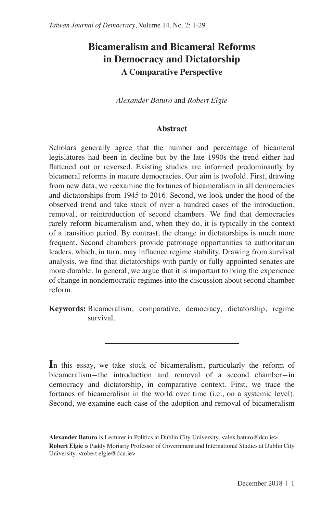# **Bicameralism and Bicameral Reforms in Democracy and Dictatorship A Comparative Perspective**

*Alexander Baturo* and *Robert Elgie*

#### **Abstract**

Scholars generally agree that the number and percentage of bicameral legislatures had been in decline but by the late 1990s the trend either had flattened out or reversed. Existing studies are informed predominantly by bicameral reforms in mature democracies. Our aim is twofold. First, drawing from new data, we reexamine the fortunes of bicameralism in all democracies and dictatorships from 1945 to 2016. Second, we look under the hood of the observed trend and take stock of over a hundred cases of the introduction, removal, or reintroduction of second chambers. We find that democracies rarely reform bicameralism and, when they do, it is typically in the context of a transition period. By contrast, the change in dictatorships is much more frequent. Second chambers provide patronage opportunities to authoritarian leaders, which, in turn, may influence regime stability. Drawing from survival analysis, we find that dictatorships with partly or fully appointed senates are more durable. In general, we argue that it is important to bring the experience of change in nondemocratic regimes into the discussion about second chamber reform.

**Keywords:** Bicameralism, comparative, democracy, dictatorship, regime survival.

In this essay, we take stock of bicameralism, particularly the reform of bicameralism-the introduction and removal of a second chamber-in democracy and dictatorship, in comparative context. First, we trace the fortunes of bicameralism in the world over time (i.e., on a systemic level). Second, we examine each case of the adoption and removal of bicameralism

**Alexander Baturo** is Lecturer in Politics at Dublin City University. <alex.baturo@dcu.ie> **Robert Elgie** is Paddy Moriarty Professor of Government and International Studies at Dublin City University. <robert.elgie@dcu.ie>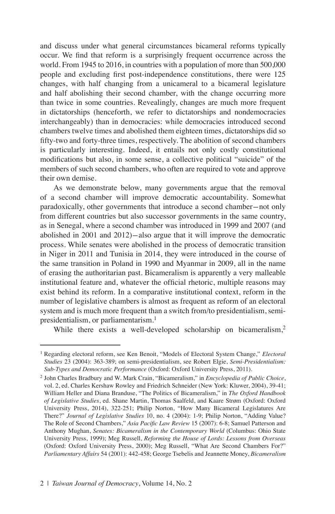and discuss under what general circumstances bicameral reforms typically occur. We find that reform is a surprisingly frequent occurrence across the world. From 1945 to 2016, in countries with a population of more than 500,000 people and excluding first post-independence constitutions, there were 125 changes, with half changing from a unicameral to a bicameral legislature and half abolishing their second chamber, with the change occurring more than twice in some countries. Revealingly, changes are much more frequent in dictatorships (henceforth, we refer to dictatorships and nondemocracies interchangeably) than in democracies: while democracies introduced second chambers twelve times and abolished them eighteen times, dictatorships did so fifty-two and forty-three times, respectively. The abolition of second chambers is particularly interesting. Indeed, it entails not only costly constitutional modifications but also, in some sense, a collective political "suicide" of the members of such second chambers, who often are required to vote and approve their own demise.

As we demonstrate below, many governments argue that the removal of a second chamber will improve democratic accountability. Somewhat paradoxically, other governments that introduce a second chamber-not only from different countries but also successor governments in the same country, as in Senegal, where a second chamber was introduced in 1999 and 2007 (and abolished in 2001 and 2012)-also argue that it will improve the democratic process. While senates were abolished in the process of democratic transition in Niger in 2011 and Tunisia in 2014, they were introduced in the course of the same transition in Poland in 1990 and Myanmar in 2009, all in the name of erasing the authoritarian past. Bicameralism is apparently a very malleable institutional feature and, whatever the official rhetoric, multiple reasons may exist behind its reform. In a comparative institutional context, reform in the number of legislative chambers is almost as frequent as reform of an electoral system and is much more frequent than a switch from/to presidentialism, semipresidentialism, or parliamentarism.<sup>1</sup>

While there exists a well-developed scholarship on bicameralism,<sup>2</sup>

<sup>1</sup> Regarding electoral reform, see Ken Benoit, "Models of Electoral System Change," *Electoral Studies* 23 (2004): 363-389; on semi-presidentialism, see Robert Elgie, *Semi-Presidentialism: Sub-Types and Democratic Performance* (Oxford: Oxford University Press, 2011).

<sup>2</sup> John Charles Bradbury and W. Mark Crain, "Bicameralism," in *Encyclopedia of Public Choice*, vol. 2, ed. Charles Kershaw Rowley and Friedrich Schneider (New York: Kluwer, 2004), 39-41; William Heller and Diana Branduse, "The Politics of Bicameralism," in *The Oxford Handbook of Legislative Studies*, ed. Shane Martin, Thomas Saalfeld, and Kaare Strøm (Oxford: Oxford University Press, 2014), 322-251; Philip Norton, "How Many Bicameral Legislatures Are There?" *Journal of Legislative Studies* 10, no. 4 (2004): 1-9; Philip Norton, "Adding Value? The Role of Second Chambers," *Asia Pacific Law Review* 15 (2007): 6-8; Samuel Patterson and Anthony Mughan, *Senates: Bicameralism in the Contemporary World* (Columbus: Ohio State University Press, 1999); Meg Russell, *Reforming the House of Lords: Lessons from Overseas*  (Oxford: Oxford University Press, 2000); Meg Russell, "What Are Second Chambers For?" *Parliamentary Affairs* 54 (2001): 442-458; George Tsebelis and Jeannette Money, *Bicameralism*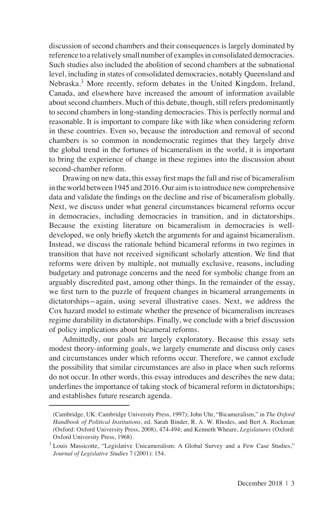discussion of second chambers and their consequences is largely dominated by reference to a relatively small number of examples in consolidated democracies. Such studies also included the abolition of second chambers at the subnational level, including in states of consolidated democracies, notably Queensland and Nebraska.<sup>3</sup> More recently, reform debates in the United Kingdom, Ireland, Canada, and elsewhere have increased the amount of information available about second chambers. Much of this debate, though, still refers predominantly to second chambers in long-standing democracies. This is perfectly normal and reasonable. It is important to compare like with like when considering reform in these countries. Even so, because the introduction and removal of second chambers is so common in nondemocratic regimes that they largely drive the global trend in the fortunes of bicameralism in the world, it is important to bring the experience of change in these regimes into the discussion about second-chamber reform.

Drawing on new data, this essay first maps the fall and rise of bicameralism in the world between 1945 and 2016. Our aim is to introduce new comprehensive data and validate the findings on the decline and rise of bicameralism globally. Next, we discuss under what general circumstances bicameral reforms occur in democracies, including democracies in transition, and in dictatorships. Because the existing literature on bicameralism in democracies is welldeveloped, we only briefly sketch the arguments for and against bicameralism. Instead, we discuss the rationale behind bicameral reforms in two regimes in transition that have not received significant scholarly attention. We find that reforms were driven by multiple, not mutually exclusive, reasons, including budgetary and patronage concerns and the need for symbolic change from an arguably discredited past, among other things. In the remainder of the essay, we first turn to the puzzle of frequent changes in bicameral arrangements in dictatorships-again, using several illustrative cases. Next, we address the Cox hazard model to estimate whether the presence of bicameralism increases regime durability in dictatorships. Finally, we conclude with a brief discussion of policy implications about bicameral reforms.

Admittedly, our goals are largely exploratory. Because this essay sets modest theory-informing goals, we largely enumerate and discuss only cases and circumstances under which reforms occur. Therefore, we cannot exclude the possibility that similar circumstances are also in place when such reforms do not occur. In other words, this essay introduces and describes the new data; underlines the importance of taking stock of bicameral reform in dictatorships; and establishes future research agenda.

<sup>(</sup>Cambridge, UK: Cambridge University Press, 1997); John Uhr, "Bicameralism," in *The Oxford Handbook of Political Institutions*, ed. Sarah Binder, R. A. W. Rhodes, and Bert A. Rockman (Oxford: Oxford University Press, 2008), 474-494; and Kenneth Wheare, *Legislatures* (Oxford: Oxford University Press, 1968).

<sup>3</sup> Louis Massicotte, "Legislative Unicameralism: A Global Survey and a Few Case Studies," *Journal of Legislative Studies* 7 (2001): 154.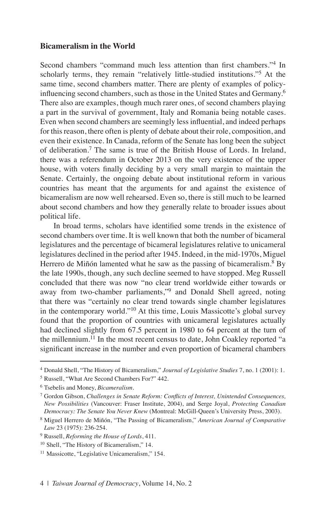### **Bicameralism in the World**

Second chambers "command much less attention than first chambers."<sup>4</sup> In scholarly terms, they remain "relatively little-studied institutions."<sup>5</sup> At the same time, second chambers matter. There are plenty of examples of policyinfluencing second chambers, such as those in the United States and Germany.<sup>6</sup> There also are examples, though much rarer ones, of second chambers playing a part in the survival of government, Italy and Romania being notable cases. Even when second chambers are seemingly less influential, and indeed perhaps for this reason, there often is plenty of debate about their role, composition, and even their existence. In Canada, reform of the Senate has long been the subject of deliberation.7 The same is true of the British House of Lords. In Ireland, there was a referendum in October 2013 on the very existence of the upper house, with voters finally deciding by a very small margin to maintain the Senate. Certainly, the ongoing debate about institutional reform in various countries has meant that the arguments for and against the existence of bicameralism are now well rehearsed. Even so, there is still much to be learned about second chambers and how they generally relate to broader issues about political life.

In broad terms, scholars have identified some trends in the existence of second chambers over time. It is well known that both the number of bicameral legislatures and the percentage of bicameral legislatures relative to unicameral legislatures declined in the period after 1945. Indeed, in the mid-1970s, Miguel Herrero de Miñón lamented what he saw as the passing of bicameralism.<sup>8</sup> By the late 1990s, though, any such decline seemed to have stopped. Meg Russell concluded that there was now "no clear trend worldwide either towards or away from two-chamber parliaments,"<sup>9</sup> and Donald Shell agreed, noting that there was "certainly no clear trend towards single chamber legislatures in the contemporary world."<sup>10</sup> At this time, Louis Massicotte's global survey found that the proportion of countries with unicameral legislatures actually had declined slightly from 67.5 percent in 1980 to 64 percent at the turn of the millennium.<sup>11</sup> In the most recent census to date, John Coakley reported "a significant increase in the number and even proportion of bicameral chambers

<sup>4</sup> Donald Shell, "The History of Bicameralism," *Journal of Legislative Studies* 7, no. 1 (2001): 1.

<sup>5</sup> Russell, "What Are Second Chambers For?" 442.

<sup>6</sup> Tsebelis and Money, *Bicameralism*.

<sup>7</sup> Gordon Gibson, *Challenges in Senate Reform: Conflicts of Interest, Unintended Consequences, New Possibilities* (Vancouver: Fraser Institute, 2004), and Serge Joyal, *Protecting Canadian Democracy: The Senate You Never Knew* (Montreal: McGill-Queen's University Press, 2003).

<sup>8</sup> Miguel Herrero de Miñón, "The Passing of Bicameralism," *American Journal of Comparative Law* 23 (1975): 236-254.

<sup>9</sup> Russell, *Reforming the House of Lords*, 411.

<sup>10</sup> Shell, "The History of Bicameralism," 14.

<sup>&</sup>lt;sup>11</sup> Massicotte, "Legislative Unicameralism," 154.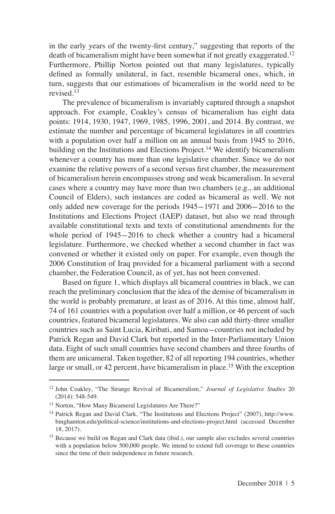in the early years of the twenty-first century," suggesting that reports of the death of bicameralism might have been somewhat if not greatly exaggerated.<sup>12</sup> Furthermore, Phillip Norton pointed out that many legislatures, typically defined as formally unilateral, in fact, resemble bicameral ones, which, in turn, suggests that our estimations of bicameralism in the world need to be revised<sup>13</sup>

The prevalence of bicameralism is invariably captured through a snapshot approach. For example, Coakley's census of bicameralism has eight data points: 1914, 1930, 1947, 1969, 1985, 1996, 2001, and 2014. By contrast, we estimate the number and percentage of bicameral legislatures in all countries with a population over half a million on an annual basis from 1945 to 2016, building on the Institutions and Elections Project.<sup>14</sup> We identify bicameralism whenever a country has more than one legislative chamber. Since we do not examine the relative powers of a second versus first chamber, the measurement of bicameralism herein encompasses strong and weak bicameralism. In several cases where a country may have more than two chambers (e.g., an additional Council of Elders), such instances are coded as bicameral as well. We not only added new coverage for the periods 1945-1971 and 2006-2016 to the Institutions and Elections Project (IAEP) dataset, but also we read through available constitutional texts and texts of constitutional amendments for the whole period of 1945-2016 to check whether a country had a bicameral legislature. Furthermore, we checked whether a second chamber in fact was convened or whether it existed only on paper. For example, even though the 2006 Constitution of Iraq provided for a bicameral parliament with a second chamber, the Federation Council, as of yet, has not been convened.

Based on figure 1, which displays all bicameral countries in black, we can reach the preliminary conclusion that the idea of the demise of bicameralism in the world is probably premature, at least as of 2016. At this time, almost half, 74 of 161 countries with a population over half a million, or 46 percent of such countries, featured bicameral legislatures. We also can add thirty-three smaller countries such as Saint Lucia, Kiribati, and Samoa-countries not included by Patrick Regan and David Clark but reported in the Inter-Parliamentary Union data. Eight of such small countries have second chambers and three fourths of them are unicameral. Taken together, 82 of all reporting 194 countries, whether large or small, or 42 percent, have bicameralism in place.<sup>15</sup> With the exception

<sup>12</sup> John Coakley, "The Strange Revival of Bicameralism," *Journal of Legislative Studies* 20 (2014): 548-549.

<sup>13</sup> Norton, "How Many Bicameral Legislatures Are There?"

<sup>14</sup> Patrick Regan and David Clark, "The Institutions and Elections Project" (2007), http://www. binghamton.edu/political-science/institutions-and-elections-project.html (accessed December 18, 2017).

<sup>&</sup>lt;sup>15</sup> Because we build on Regan and Clark data (ibid.), our sample also excludes several countries with a population below 500,000 people. We intend to extend full coverage to these countries since the time of their independence in future research.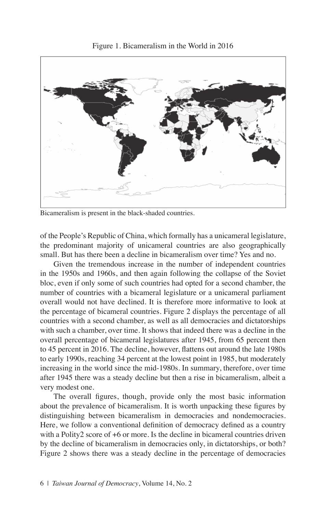

Figure 1. Bicameralism in the World in 2016

Bicameralism is present in the black-shaded countries.

of the People's Republic of China, which formally has a unicameral legislature, the predominant majority of unicameral countries are also geographically small. But has there been a decline in bicameralism over time? Yes and no.

Given the tremendous increase in the number of independent countries in the 1950s and 1960s, and then again following the collapse of the Soviet bloc, even if only some of such countries had opted for a second chamber, the number of countries with a bicameral legislature or a unicameral parliament overall would not have declined. It is therefore more informative to look at the percentage of bicameral countries. Figure 2 displays the percentage of all countries with a second chamber, as well as all democracies and dictatorships with such a chamber, over time. It shows that indeed there was a decline in the overall percentage of bicameral legislatures after 1945, from 65 percent then to 45 percent in 2016. The decline, however, flattens out around the late 1980s to early 1990s, reaching 34 percent at the lowest point in 1985, but moderately increasing in the world since the mid-1980s. In summary, therefore, over time after 1945 there was a steady decline but then a rise in bicameralism, albeit a very modest one.

The overall figures, though, provide only the most basic information about the prevalence of bicameralism. It is worth unpacking these figures by distinguishing between bicameralism in democracies and nondemocracies. Here, we follow a conventional definition of democracy defined as a country with a Polity2 score of +6 or more. Is the decline in bicameral countries driven by the decline of bicameralism in democracies only, in dictatorships, or both? Figure 2 shows there was a steady decline in the percentage of democracies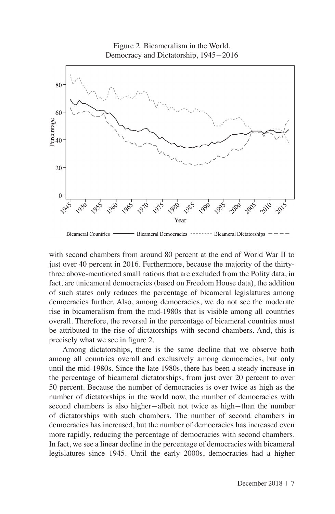

**Bicameral Countries Bicameral Democracies Bicameral Dictatorships** 

with second chambers from around 80 percent at the end of World War II to just over 40 percent in 2016. Furthermore, because the majority of the thirtythree above-mentioned small nations that are excluded from the Polity data, in fact, are unicameral democracies (based on Freedom House data), the addition of such states only reduces the percentage of bicameral legislatures among democracies further. Also, among democracies, we do not see the moderate rise in bicameralism from the mid-1980s that is visible among all countries overall. Therefore, the reversal in the percentage of bicameral countries must be attributed to the rise of dictatorships with second chambers. And, this is precisely what we see in figure 2.

Among dictatorships, there is the same decline that we observe both among all countries overall and exclusively among democracies, but only until the mid-1980s. Since the late 1980s, there has been a steady increase in the percentage of bicameral dictatorships, from just over 20 percent to over 50 percent. Because the number of democracies is over twice as high as the number of dictatorships in the world now, the number of democracies with second chambers is also higher-albeit not twice as high-than the number of dictatorships with such chambers. The number of second chambers in democracies has increased, but the number of democracies has increased even more rapidly, reducing the percentage of democracies with second chambers. In fact, we see a linear decline in the percentage of democracies with bicameral legislatures since 1945. Until the early 2000s, democracies had a higher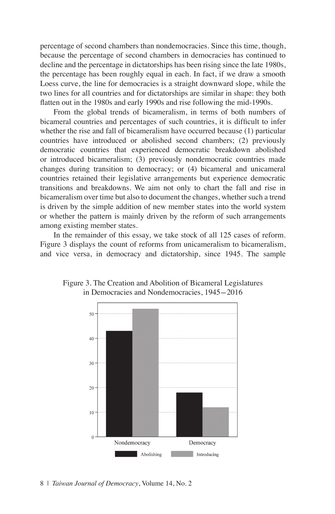percentage of second chambers than nondemocracies. Since this time, though, because the percentage of second chambers in democracies has continued to decline and the percentage in dictatorships has been rising since the late 1980s, the percentage has been roughly equal in each. In fact, if we draw a smooth Loess curve, the line for democracies is a straight downward slope, while the two lines for all countries and for dictatorships are similar in shape: they both flatten out in the 1980s and early 1990s and rise following the mid-1990s.

From the global trends of bicameralism, in terms of both numbers of bicameral countries and percentages of such countries, it is difficult to infer whether the rise and fall of bicameralism have occurred because (1) particular countries have introduced or abolished second chambers; (2) previously democratic countries that experienced democratic breakdown abolished or introduced bicameralism; (3) previously nondemocratic countries made changes during transition to democracy; or (4) bicameral and unicameral countries retained their legislative arrangements but experience democratic transitions and breakdowns. We aim not only to chart the fall and rise in bicameralism over time but also to document the changes, whether such a trend is driven by the simple addition of new member states into the world system or whether the pattern is mainly driven by the reform of such arrangements among existing member states.

In the remainder of this essay, we take stock of all 125 cases of reform. Figure 3 displays the count of reforms from unicameralism to bicameralism, and vice versa, in democracy and dictatorship, since 1945. The sample



Figure 3. The Creation and Abolition of Bicameral Legislatures in Democracies and Nondemocracies, 1945-2016

8 | *Taiwan Journal of Democracy*, Volume 14, No. 2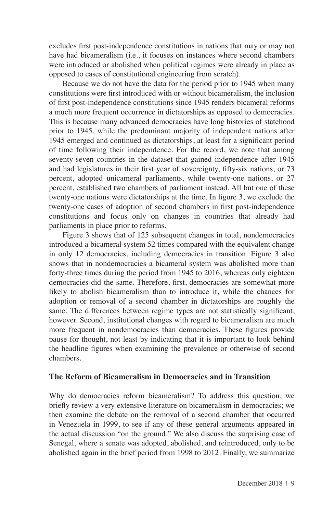excludes first post-independence constitutions in nations that may or may not have had bicameralism (i.e., it focuses on instances where second chambers were introduced or abolished when political regimes were already in place as opposed to cases of constitutional engineering from scratch).

Because we do not have the data for the period prior to 1945 when many constitutions were first introduced with or without bicameralism, the inclusion of first post-independence constitutions since 1945 renders bicameral reforms a much more frequent occurrence in dictatorships as opposed to democracies. This is because many advanced democracies have long histories of statehood prior to 1945, while the predominant majority of independent nations after 1945 emerged and continued as dictatorships, at least for a significant period of time following their independence. For the record, we note that among seventy-seven countries in the dataset that gained independence after 1945 and had legislatures in their first year of sovereignty, fifty-six nations, or 73 percent, adopted unicameral parliaments, while twenty-one nations, or 27 percent, established two chambers of parliament instead. All but one of these twenty-one nations were dictatorships at the time. In figure 3, we exclude the twenty-one cases of adoption of second chambers in first post-independence constitutions and focus only on changes in countries that already had parliaments in place prior to reforms.

Figure 3 shows that of 125 subsequent changes in total, nondemocracies introduced a bicameral system 52 times compared with the equivalent change in only 12 democracies, including democracies in transition. Figure 3 also shows that in nondemocracies a bicameral system was abolished more than forty-three times during the period from 1945 to 2016, whereas only eighteen democracies did the same. Therefore, first, democracies are somewhat more likely to abolish bicameralism than to introduce it, while the chances for adoption or removal of a second chamber in dictatorships are roughly the same. The differences between regime types are not statistically significant, however. Second, institutional changes with regard to bicameralism are much more frequent in nondemocracies than democracies. These figures provide pause for thought, not least by indicating that it is important to look behind the headline figures when examining the prevalence or otherwise of second chambers.

### **The Reform of Bicameralism in Democracies and in Transition**

Why do democracies reform bicameralism? To address this question, we briefly review a very extensive literature on bicameralism in democracies; we then examine the debate on the removal of a second chamber that occurred in Venezuela in 1999, to see if any of these general arguments appeared in the actual discussion "on the ground." We also discuss the surprising case of Senegal, where a senate was adopted, abolished, and reintroduced, only to be abolished again in the brief period from 1998 to 2012. Finally, we summarize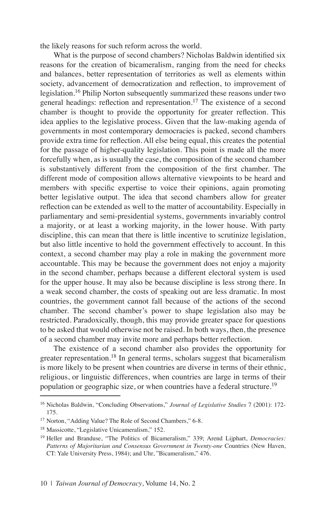the likely reasons for such reform across the world.

What is the purpose of second chambers? Nicholas Baldwin identified six reasons for the creation of bicameralism, ranging from the need for checks and balances, better representation of territories as well as elements within society, advancement of democratization and reflection, to improvement of legislation.<sup>16</sup> Philip Norton subsequently summarized these reasons under two general headings: reflection and representation.<sup>17</sup> The existence of a second chamber is thought to provide the opportunity for greater reflection. This idea applies to the legislative process. Given that the law-making agenda of governments in most contemporary democracies is packed, second chambers provide extra time for reflection. All else being equal, this creates the potential for the passage of higher-quality legislation. This point is made all the more forcefully when, as is usually the case, the composition of the second chamber is substantively different from the composition of the first chamber. The different mode of composition allows alternative viewpoints to be heard and members with specific expertise to voice their opinions, again promoting better legislative output. The idea that second chambers allow for greater reflection can be extended as well to the matter of accountability. Especially in parliamentary and semi-presidential systems, governments invariably control a majority, or at least a working majority, in the lower house. With party discipline, this can mean that there is little incentive to scrutinize legislation, but also little incentive to hold the government effectively to account. In this context, a second chamber may play a role in making the government more accountable. This may be because the government does not enjoy a majority in the second chamber, perhaps because a different electoral system is used for the upper house. It may also be because discipline is less strong there. In a weak second chamber, the costs of speaking out are less dramatic. In most countries, the government cannot fall because of the actions of the second chamber. The second chamber's power to shape legislation also may be restricted. Paradoxically, though, this may provide greater space for questions to be asked that would otherwise not be raised. In both ways, then, the presence of a second chamber may invite more and perhaps better reflection.

The existence of a second chamber also provides the opportunity for greater representation.<sup>18</sup> In general terms, scholars suggest that bicameralism is more likely to be present when countries are diverse in terms of their ethnic, religious, or linguistic differences, when countries are large in terms of their population or geographic size, or when countries have a federal structure.<sup>19</sup>

<sup>16</sup> Nicholas Baldwin, "Concluding Observations," *Journal of Legislative Studies* 7 (2001): 172- 175.

<sup>17</sup> Norton, "Adding Value? The Role of Second Chambers," 6-8.

<sup>18</sup> Massicotte, "Legislative Unicameralism," 152.

<sup>19</sup> Heller and Branduse, "The Politics of Bicameralism," 339; Arend Lijphart, *Democracies: Patterns of Majoritarian and Consensus Government in Twenty-one* Countries (New Haven, CT: Yale University Press, 1984); and Uhr, "Bicameralism," 476.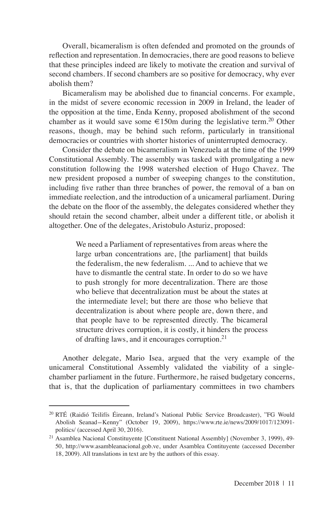Overall, bicameralism is often defended and promoted on the grounds of reflection and representation. In democracies, there are good reasons to believe that these principles indeed are likely to motivate the creation and survival of second chambers. If second chambers are so positive for democracy, why ever abolish them?

Bicameralism may be abolished due to financial concerns. For example, in the midst of severe economic recession in 2009 in Ireland, the leader of the opposition at the time, Enda Kenny, proposed abolishment of the second chamber as it would save some  $\epsilon$ 150m during the legislative term.<sup>20</sup> Other reasons, though, may be behind such reform, particularly in transitional democracies or countries with shorter histories of uninterrupted democracy.

Consider the debate on bicameralism in Venezuela at the time of the 1999 Constitutional Assembly. The assembly was tasked with promulgating a new constitution following the 1998 watershed election of Hugo Chavez. The new president proposed a number of sweeping changes to the constitution, including five rather than three branches of power, the removal of a ban on immediate reelection, and the introduction of a unicameral parliament. During the debate on the floor of the assembly, the delegates considered whether they should retain the second chamber, albeit under a different title, or abolish it altogether. One of the delegates, Aristobulo Asturiz, proposed:

> We need a Parliament of representatives from areas where the large urban concentrations are, [the parliament] that builds the federalism, the new federalism. ... And to achieve that we have to dismantle the central state. In order to do so we have to push strongly for more decentralization. There are those who believe that decentralization must be about the states at the intermediate level; but there are those who believe that decentralization is about where people are, down there, and that people have to be represented directly. The bicameral structure drives corruption, it is costly, it hinders the process of drafting laws, and it encourages corruption.<sup>21</sup>

Another delegate, Mario Isea, argued that the very example of the unicameral Constitutional Assembly validated the viability of a singlechamber parliament in the future. Furthermore, he raised budgetary concerns, that is, that the duplication of parliamentary committees in two chambers

<sup>20</sup> RTÉ (Raidió Teilifís Éireann, Ireland's National Public Service Broadcaster), "FG Would Abolish Seanad-Kenny" (October 19, 2009), https://www.rte.ie/news/2009/1017/123091 politics/ (accessed April 30, 2016).

<sup>21</sup> Asamblea Nacional Constituyente [Constituent National Assembly] (November 3, 1999), 49- 50, http://www.asambleanacional.gob.ve, under Asamblea Contituyente (accessed December 18, 2009). All translations in text are by the authors of this essay.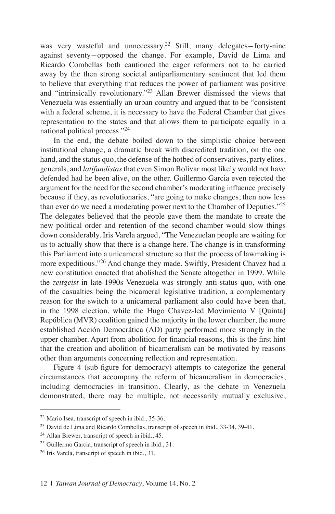was very wasteful and unnecessary.<sup>22</sup> Still, many delegates-forty-nine against seventy-opposed the change. For example, David de Lima and Ricardo Combellas both cautioned the eager reformers not to be carried away by the then strong societal antiparliamentary sentiment that led them to believe that everything that reduces the power of parliament was positive and "intrinsically revolutionary."<sup>23</sup> Allan Brewer dismissed the views that Venezuela was essentially an urban country and argued that to be "consistent with a federal scheme, it is necessary to have the Federal Chamber that gives representation to the states and that allows them to participate equally in a national political process."<sup>24</sup>

In the end, the debate boiled down to the simplistic choice between institutional change, a dramatic break with discredited tradition, on the one hand, and the status quo, the defense of the hotbed of conservatives, party elites, generals, and *latifundistas* that even Simon Bolivar most likely would not have defended had he been alive, on the other. Guillermo Garcia even rejected the argument for the need for the second chamber's moderating influence precisely because if they, as revolutionaries, "are going to make changes, then now less than ever do we need a moderating power next to the Chamber of Deputies."<sup>25</sup> The delegates believed that the people gave them the mandate to create the new political order and retention of the second chamber would slow things down considerably. Iris Varela argued, "The Venezuelan people are waiting for us to actually show that there is a change here. The change is in transforming this Parliament into a unicameral structure so that the process of lawmaking is more expeditious."<sup>26</sup> And change they made. Swiftly, President Chavez had a new constitution enacted that abolished the Senate altogether in 1999. While the *zeitgeist* in late-1990s Venezuela was strongly anti-status quo, with one of the casualties being the bicameral legislative tradition, a complementary reason for the switch to a unicameral parliament also could have been that, in the 1998 election, while the Hugo Chavez-led Movimiento V [Quinta] República (MVR) coalition gained the majority in the lower chamber, the more established Acción Democrática (AD) party performed more strongly in the upper chamber. Apart from abolition for financial reasons, this is the first hint that the creation and abolition of bicameralism can be motivated by reasons other than arguments concerning reflection and representation.

Figure 4 (sub-figure for democracy) attempts to categorize the general circumstances that accompany the reform of bicameralism in democracies, including democracies in transition. Clearly, as the debate in Venezuela demonstrated, there may be multiple, not necessarily mutually exclusive,

<sup>22</sup> Mario Isea, transcript of speech in ibid., 35-36.

<sup>&</sup>lt;sup>23</sup> David de Lima and Ricardo Combellas, transcript of speech in ibid., 33-34, 39-41.

<sup>24</sup> Allan Brewer, transcript of speech in ibid., 45.

<sup>25</sup> Guillermo Garcia, transcript of speech in ibid., 31.

<sup>26</sup> Iris Varela, transcript of speech in ibid., 31.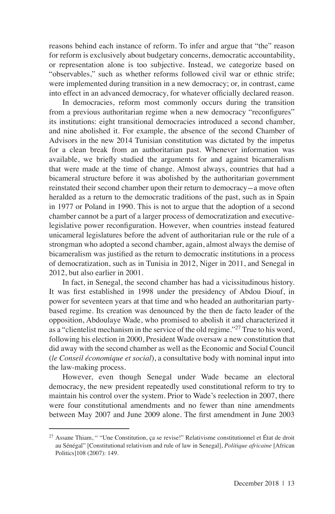reasons behind each instance of reform. To infer and argue that "the" reason for reform is exclusively about budgetary concerns, democratic accountability, or representation alone is too subjective. Instead, we categorize based on "observables," such as whether reforms followed civil war or ethnic strife; were implemented during transition in a new democracy; or, in contrast, came into effect in an advanced democracy, for whatever officially declared reason.

In democracies, reform most commonly occurs during the transition from a previous authoritarian regime when a new democracy "reconfigures" its institutions: eight transitional democracies introduced a second chamber, and nine abolished it. For example, the absence of the second Chamber of Advisors in the new 2014 Tunisian constitution was dictated by the impetus for a clean break from an authoritarian past. Whenever information was available, we briefly studied the arguments for and against bicameralism that were made at the time of change. Almost always, countries that had a bicameral structure before it was abolished by the authoritarian government reinstated their second chamber upon their return to democracy-a move often heralded as a return to the democratic traditions of the past, such as in Spain in 1977 or Poland in 1990. This is not to argue that the adoption of a second chamber cannot be a part of a larger process of democratization and executivelegislative power reconfiguration. However, when countries instead featured unicameral legislatures before the advent of authoritarian rule or the rule of a strongman who adopted a second chamber, again, almost always the demise of bicameralism was justified as the return to democratic institutions in a process of democratization, such as in Tunisia in 2012, Niger in 2011, and Senegal in 2012, but also earlier in 2001.

In fact, in Senegal, the second chamber has had a vicissitudinous history. It was first established in 1998 under the presidency of Abdou Diouf, in power for seventeen years at that time and who headed an authoritarian partybased regime. Its creation was denounced by the then de facto leader of the opposition, Abdoulaye Wade, who promised to abolish it and characterized it as a "clientelist mechanism in the service of the old regime."<sup>27</sup> True to his word, following his election in 2000, President Wade oversaw a new constitution that did away with the second chamber as well as the Economic and Social Council (*le Conseil économique et social*), a consultative body with nominal input into the law-making process.

However, even though Senegal under Wade became an electoral democracy, the new president repeatedly used constitutional reform to try to maintain his control over the system. Prior to Wade's reelection in 2007, there were four constitutional amendments and no fewer than nine amendments between May 2007 and June 2009 alone. The first amendment in June 2003

 $27$  Assane Thiam, " "Une Constitution, ça se revise!" Relativisme constitutionnel et État de droit au Sénégal" [Constitutional relativism and rule of law in Senegal], *Politique africaine* [African Politics]108 (2007): 149.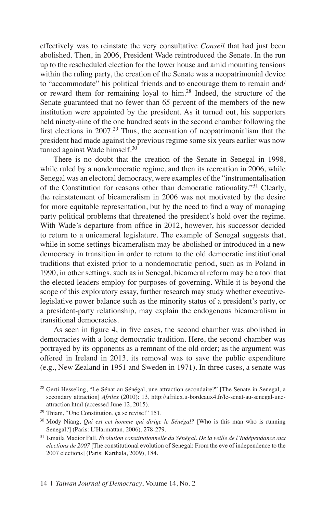effectively was to reinstate the very consultative *Conseil* that had just been abolished. Then, in 2006, President Wade reintroduced the Senate. In the run up to the rescheduled election for the lower house and amid mounting tensions within the ruling party, the creation of the Senate was a neopatrimonial device to "accommodate" his political friends and to encourage them to remain and/ or reward them for remaining loyal to him.<sup>28</sup> Indeed, the structure of the Senate guaranteed that no fewer than 65 percent of the members of the new institution were appointed by the president. As it turned out, his supporters held ninety-nine of the one hundred seats in the second chamber following the first elections in 2007.<sup>29</sup> Thus, the accusation of neopatrimonialism that the president had made against the previous regime some six years earlier was now turned against Wade himself.<sup>30</sup>

There is no doubt that the creation of the Senate in Senegal in 1998, while ruled by a nondemocratic regime, and then its recreation in 2006, while Senegal was an electoral democracy, were examples of the "instrumentalisation of the Constitution for reasons other than democratic rationality."<sup>31</sup> Clearly, the reinstatement of bicameralism in 2006 was not motivated by the desire for more equitable representation, but by the need to find a way of managing party political problems that threatened the president's hold over the regime. With Wade's departure from office in 2012, however, his successor decided to return to a unicameral legislature. The example of Senegal suggests that, while in some settings bicameralism may be abolished or introduced in a new democracy in transition in order to return to the old democratic institiutional traditions that existed prior to a nondemocratic period, such as in Poland in 1990, in other settings, such as in Senegal, bicameral reform may be a tool that the elected leaders employ for purposes of governing. While it is beyond the scope of this exploratory essay, further research may study whether executivelegislative power balance such as the minority status of a president's party, or a president-party relationship, may explain the endogenous bicameralism in transitional democracies.

As seen in figure 4, in five cases, the second chamber was abolished in democracies with a long democratic tradition. Here, the second chamber was portrayed by its opponents as a remnant of the old order; as the argument was offered in Ireland in 2013, its removal was to save the public expenditure (e.g., New Zealand in 1951 and Sweden in 1971). In three cases, a senate was

<sup>28</sup> Gerti Hesseling, "Le Sénat au Sénégal, une attraction secondaire?" [The Senate in Senegal, a secondary attraction] *Afrilex* (2010): 13, http://afrilex.u-bordeaux4.fr/le-senat-au-senegal-uneattraction.html (accessed June 12, 2015).

<sup>29</sup> Thiam, "Une Constitution, ça se revise!" 151.

<sup>30</sup> Mody Niang, *Qui est cet homme qui dirige le Sénégal?* [Who is this man who is running Senegal?] (Paris: L'Harmattan, 2006), 278-279.

<sup>31</sup> Ismaila Madior Fall, *Évolution constitutionnelle du Sénégal. De la veille de l'Indépendance aux elections de 2007* [The constitutional evolution of Senegal: From the eve of independence to the 2007 elections] (Paris: Karthala, 2009), 184.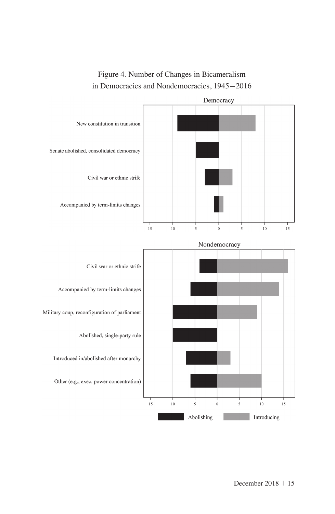

## Figure 4. Number of Changes in Bicameralism in Democracies and Nondemocracies, 1945-2016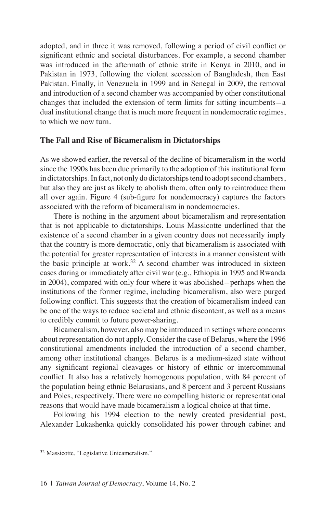adopted, and in three it was removed, following a period of civil conflict or significant ethnic and societal disturbances. For example, a second chamber was introduced in the aftermath of ethnic strife in Kenya in 2010, and in Pakistan in 1973, following the violent secession of Bangladesh, then East Pakistan. Finally, in Venezuela in 1999 and in Senegal in 2009, the removal and introduction of a second chamber was accompanied by other constitutional changes that included the extension of term limits for sitting incumbents-a dual institutional change that is much more frequent in nondemocratic regimes, to which we now turn.

### **The Fall and Rise of Bicameralism in Dictatorships**

As we showed earlier, the reversal of the decline of bicameralism in the world since the 1990s has been due primarily to the adoption of this institutional form in dictatorships. In fact, not only do dictatorships tend to adopt second chambers, but also they are just as likely to abolish them, often only to reintroduce them all over again. Figure 4 (sub-figure for nondemocracy) captures the factors associated with the reform of bicameralism in nondemocracies.

There is nothing in the argument about bicameralism and representation that is not applicable to dictatorships. Louis Massicotte underlined that the existence of a second chamber in a given country does not necessarily imply that the country is more democratic, only that bicameralism is associated with the potential for greater representation of interests in a manner consistent with the basic principle at work.<sup>32</sup> A second chamber was introduced in sixteen cases during or immediately after civil war (e.g., Ethiopia in 1995 and Rwanda in 2004), compared with only four where it was abolished-perhaps when the institutions of the former regime, including bicameralism, also were purged following conflict. This suggests that the creation of bicameralism indeed can be one of the ways to reduce societal and ethnic discontent, as well as a means to credibly commit to future power-sharing.

Bicameralism, however, also may be introduced in settings where concerns about representation do not apply. Consider the case of Belarus, where the 1996 constitutional amendments included the introduction of a second chamber, among other institutional changes. Belarus is a medium-sized state without any significant regional cleavages or history of ethnic or intercommunal conflict. It also has a relatively homogenous population, with 84 percent of the population being ethnic Belarusians, and 8 percent and 3 percent Russians and Poles, respectively. There were no compelling historic or representational reasons that would have made bicameralism a logical choice at that time.

Following his 1994 election to the newly created presidential post, Alexander Lukashenka quickly consolidated his power through cabinet and

<sup>&</sup>lt;sup>32</sup> Massicotte, "Legislative Unicameralism."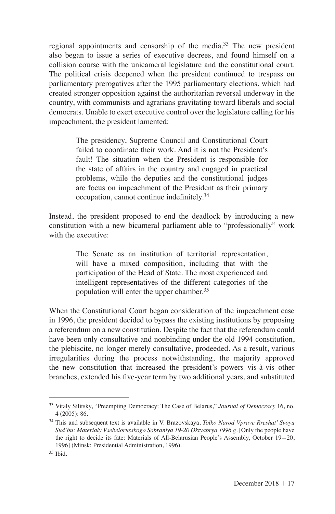regional appointments and censorship of the media.<sup>33</sup> The new president also began to issue a series of executive decrees, and found himself on a collision course with the unicameral legislature and the constitutional court. The political crisis deepened when the president continued to trespass on parliamentary prerogatives after the 1995 parliamentary elections, which had created stronger opposition against the authoritarian reversal underway in the country, with communists and agrarians gravitating toward liberals and social democrats. Unable to exert executive control over the legislature calling for his impeachment, the president lamented:

> The presidency, Supreme Council and Constitutional Court failed to coordinate their work. And it is not the President's fault! The situation when the President is responsible for the state of affairs in the country and engaged in practical problems, while the deputies and the constitutional judges are focus on impeachment of the President as their primary occupation, cannot continue indefinitely.<sup>34</sup>

Instead, the president proposed to end the deadlock by introducing a new constitution with a new bicameral parliament able to "professionally" work with the executive:

> The Senate as an institution of territorial representation, will have a mixed composition, including that with the participation of the Head of State. The most experienced and intelligent representatives of the different categories of the population will enter the upper chamber.<sup>35</sup>

When the Constitutional Court began consideration of the impeachment case in 1996, the president decided to bypass the existing institutions by proposing a referendum on a new constitution. Despite the fact that the referendum could have been only consultative and nonbinding under the old 1994 constitution, the plebiscite, no longer merely consultative, prodeeded. As a result, various irregularities during the process notwithstanding, the majority approved the new constitution that increased the president's powers vis-à-vis other branches, extended his five-year term by two additional years, and substituted

<sup>33</sup> Vitaly Silitsky, "Preempting Democracy: The Case of Belarus," *Journal of Democracy* 16, no. 4 (2005): 86.

<sup>34</sup> This and subsequent text is available in V. Brazovskaya, *Tolko Narod Vprave Rreshat' Svoyu Sud'bu: Materialy Vsebelorusskogo Sobraniya 19-20 Oktyabrya 1996 g.* [Only the people have the right to decide its fate: Materials of All-Belarusian People's Assembly, October 19-20, 1996] (Minsk: Presidential Administration, 1996).

<sup>35</sup> Ibid.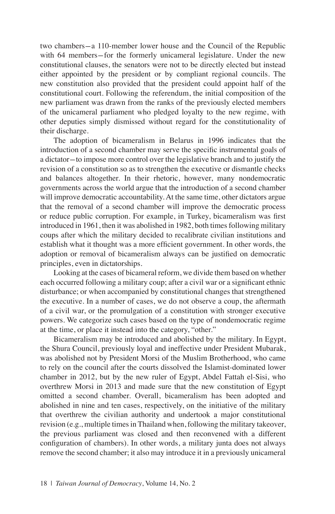two chambers-a 110-member lower house and the Council of the Republic with 64 members-for the formerly unicameral legislature. Under the new constitutional clauses, the senators were not to be directly elected but instead either appointed by the president or by compliant regional councils. The new constitution also provided that the president could appoint half of the constitutional court. Following the referendum, the initial composition of the new parliament was drawn from the ranks of the previously elected members of the unicameral parliament who pledged loyalty to the new regime, with other deputies simply dismissed without regard for the constitutionality of their discharge.

The adoption of bicameralism in Belarus in 1996 indicates that the introduction of a second chamber may serve the specific instrumental goals of a dictator-to impose more control over the legislative branch and to justify the revision of a constitution so as to strengthen the executive or dismantle checks and balances altogether. In their rhetoric, however, many nondemocratic governments across the world argue that the introduction of a second chamber will improve democratic accountability. At the same time, other dictators argue that the removal of a second chamber will improve the democratic process or reduce public corruption. For example, in Turkey, bicameralism was first introduced in 1961, then it was abolished in 1982, both times following military coups after which the military decided to recalibrate civilian institutions and establish what it thought was a more efficient government. In other words, the adoption or removal of bicameralism always can be justified on democratic principles, even in dictatorships.

Looking at the cases of bicameral reform, we divide them based on whether each occurred following a military coup; after a civil war or a significant ethnic disturbance; or when accompanied by constitutional changes that strengthened the executive. In a number of cases, we do not observe a coup, the aftermath of a civil war, or the promulgation of a constitution with stronger executive powers. We categorize such cases based on the type of nondemocratic regime at the time, or place it instead into the category, "other."

Bicameralism may be introduced and abolished by the military. In Egypt, the Shura Council, previously loyal and ineffective under President Mubarak, was abolished not by President Morsi of the Muslim Brotherhood, who came to rely on the council after the courts dissolved the Islamist-dominated lower chamber in 2012, but by the new ruler of Egypt, Abdel Fattah el-Sisi, who overthrew Morsi in 2013 and made sure that the new constitution of Egypt omitted a second chamber. Overall, bicameralism has been adopted and abolished in nine and ten cases, respectively, on the initiative of the military that overthrew the civilian authority and undertook a major constitutional revision (e.g., multiple times in Thailand when, following the military takeover, the previous parliament was closed and then reconvened with a different configuration of chambers). In other words, a military junta does not always remove the second chamber; it also may introduce it in a previously unicameral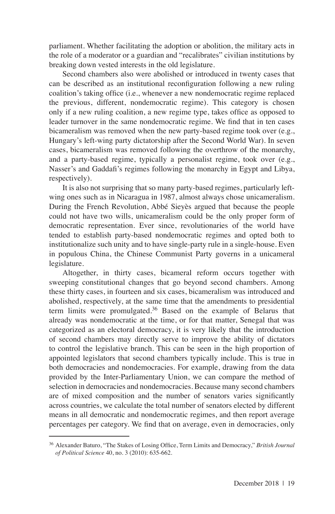parliament. Whether facilitating the adoption or abolition, the military acts in the role of a moderator or a guardian and "recalibrates" civilian institutions by breaking down vested interests in the old legislature.

Second chambers also were abolished or introduced in twenty cases that can be described as an institutional reconfiguration following a new ruling coalition's taking office (i.e., whenever a new nondemocratic regime replaced the previous, different, nondemocratic regime). This category is chosen only if a new ruling coalition, a new regime type, takes office as opposed to leader turnover in the same nondemocratic regime. We find that in ten cases bicameralism was removed when the new party-based regime took over (e.g., Hungary's left-wing party dictatorship after the Second World War). In seven cases, bicameralism was removed following the overthrow of the monarchy, and a party-based regime, typically a personalist regime, took over (e.g., Nasser's and Gaddafi's regimes following the monarchy in Egypt and Libya, respectively).

It is also not surprising that so many party-based regimes, particularly leftwing ones such as in Nicaragua in 1987, almost always chose unicameralism. During the French Revolution, Abbé Sieyès argued that because the people could not have two wills, unicameralism could be the only proper form of democratic representation. Ever since, revolutionaries of the world have tended to establish party-based nondemocratic regimes and opted both to institutionalize such unity and to have single-party rule in a single-house. Even in populous China, the Chinese Communist Party governs in a unicameral legislature.

Altogether, in thirty cases, bicameral reform occurs together with sweeping constitutional changes that go beyond second chambers. Among these thirty cases, in fourteen and six cases, bicameralism was introduced and abolished, respectively, at the same time that the amendments to presidential term limits were promulgated.<sup>36</sup> Based on the example of Belarus that already was nondemocratic at the time, or for that matter, Senegal that was categorized as an electoral democracy, it is very likely that the introduction of second chambers may directly serve to improve the ability of dictators to control the legislative branch. This can be seen in the high proportion of appointed legislators that second chambers typically include. This is true in both democracies and nondemocracies. For example, drawing from the data provided by the Inter-Parliamentary Union, we can compare the method of selection in democracies and nondemocracies. Because many second chambers are of mixed composition and the number of senators varies significantly across countries, we calculate the total number of senators elected by different means in all democratic and nondemocratic regimes, and then report average percentages per category. We find that on average, even in democracies, only

<sup>36</sup> Alexander Baturo, "The Stakes of Losing Office, Term Limits and Democracy," *British Journal of Political Science* 40, no. 3 (2010): 635-662.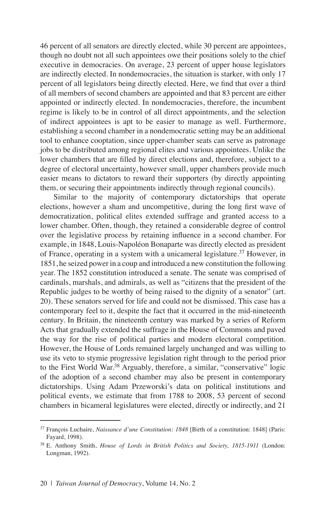46 percent of all senators are directly elected, while 30 percent are appointees, though no doubt not all such appointees owe their positions solely to the chief executive in democracies. On average, 23 percent of upper house legislators are indirectly elected. In nondemocracies, the situation is starker, with only 17 percent of all legislators being directly elected. Here, we find that over a third of all members of second chambers are appointed and that 83 percent are either appointed or indirectly elected. In nondemocracies, therefore, the incumbent regime is likely to be in control of all direct appointments, and the selection of indirect appointees is apt to be easier to manage as well. Furthermore, establishing a second chamber in a nondemocratic setting may be an additional tool to enhance cooptation, since upper-chamber seats can serve as patronage jobs to be distributed among regional elites and various appointees. Unlike the lower chambers that are filled by direct elections and, therefore, subject to a degree of electoral uncertainty, however small, upper chambers provide much easier means to dictators to reward their supporters (by directly appointing them, or securing their appointments indirectly through regional councils).

Similar to the majority of contemporary dictatorships that operate elections, however a sham and uncompetitive, during the long first wave of democratization, political elites extended suffrage and granted access to a lower chamber. Often, though, they retained a considerable degree of control over the legislative process by retaining influence in a second chamber. For example, in 1848, Louis-Napoléon Bonaparte was directly elected as president of France, operating in a system with a unicameral legislature.37 However, in 1851, he seized power in a coup and introduced a new constitution the following year. The 1852 constitution introduced a senate. The senate was comprised of cardinals, marshals, and admirals, as well as "citizens that the president of the Republic judges to be worthy of being raised to the dignity of a senator" (art. 20). These senators served for life and could not be dismissed. This case has a contemporary feel to it, despite the fact that it occurred in the mid-nineteenth century. In Britain, the nineteenth century was marked by a series of Reform Acts that gradually extended the suffrage in the House of Commons and paved the way for the rise of political parties and modern electoral competition. However, the House of Lords remained largely unchanged and was willing to use its veto to stymie progressive legislation right through to the period prior to the First World War.<sup>38</sup> Arguably, therefore, a similar, "conservative" logic of the adoption of a second chamber may also be present in contemporary dictatorships. Using Adam Przeworski's data on political institutions and political events, we estimate that from 1788 to 2008, 53 percent of second chambers in bicameral legislatures were elected, directly or indirectly, and 21

<sup>37</sup> François Luchaire, *Naissance d'une Constitution: 1848* [Birth of a constitution: 1848] (Paris: Fayard, 1998).

<sup>38</sup> E. Anthony Smith, *House of Lords in British Politics and Society, 1815-1911* (London: Longman, 1992).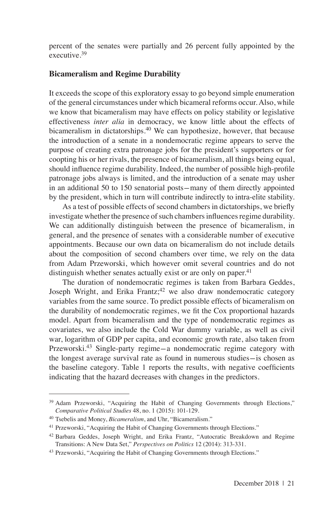percent of the senates were partially and 26 percent fully appointed by the  $\epsilon$ xecutive.<sup>39</sup>

### **Bicameralism and Regime Durability**

It exceeds the scope of this exploratory essay to go beyond simple enumeration of the general circumstances under which bicameral reforms occur. Also, while we know that bicameralism may have effects on policy stability or legislative effectiveness *inter alia* in democracy, we know little about the effects of bicameralism in dictatorships.<sup>40</sup> We can hypothesize, however, that because the introduction of a senate in a nondemocratic regime appears to serve the purpose of creating extra patronage jobs for the president's supporters or for coopting his or her rivals, the presence of bicameralism, all things being equal, should influence regime durability. Indeed, the number of possible high-profile patronage jobs always is limited, and the introduction of a senate may usher in an additional 50 to 150 senatorial posts-many of them directly appointed by the president, which in turn will contribute indirectly to intra-elite stability.

As a test of possible effects of second chambers in dictatorships, we briefly investigate whether the presence of such chambers influences regime durability. We can additionally distinguish between the presence of bicameralism, in general, and the presence of senates with a considerable number of executive appointments. Because our own data on bicameralism do not include details about the composition of second chambers over time, we rely on the data from Adam Przeworski, which however omit several countries and do not distinguish whether senates actually exist or are only on paper.<sup>41</sup>

The duration of nondemocratic regimes is taken from Barbara Geddes, Joseph Wright, and Erika Frantz;  $42$  we also draw nondemocratic category variables from the same source. To predict possible effects of bicameralism on the durability of nondemocratic regimes, we fit the Cox proportional hazards model. Apart from bicameralism and the type of nondemocratic regimes as covariates, we also include the Cold War dummy variable, as well as civil war, logarithm of GDP per capita, and economic growth rate, also taken from Przeworski.43 Single-party regime-a nondemocratic regime category with the longest average survival rate as found in numerous studies-is chosen as the baseline category. Table 1 reports the results, with negative coefficients indicating that the hazard decreases with changes in the predictors.

<sup>&</sup>lt;sup>39</sup> Adam Przeworski, "Acquiring the Habit of Changing Governments through Elections," *Comparative Political Studies* 48, no. 1 (2015): 101-129.

<sup>40</sup> Tsebelis and Money, *Bicameralism*, and Uhr, "Bicameralism."

<sup>&</sup>lt;sup>41</sup> Przeworski, "Acquiring the Habit of Changing Governments through Elections."

<sup>42</sup> Barbara Geddes, Joseph Wright, and Erika Frantz, "Autocratic Breakdown and Regime Transitions: A New Data Set," *Perspectives on Politics* 12 (2014): 313-331.

<sup>43</sup> Przeworski, "Acquiring the Habit of Changing Governments through Elections."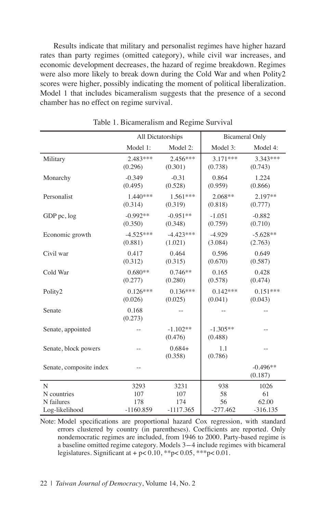Results indicate that military and personalist regimes have higher hazard rates than party regimes (omitted category), while civil war increases, and economic development decreases, the hazard of regime breakdown. Regimes were also more likely to break down during the Cold War and when Polity2 scores were higher, possibly indicating the moment of political liberalization. Model 1 that includes bicameralism suggests that the presence of a second chamber has no effect on regime survival.

|                         | All Dictatorships      |                        |                       | <b>Bicameral Only</b> |
|-------------------------|------------------------|------------------------|-----------------------|-----------------------|
|                         | Model 1:               | Model 2:               | Model 3:              | Model 4:              |
| Military                | $2.483***$<br>(0.296)  | $2.456***$<br>(0.301)  | $3.171***$<br>(0.738) | $3.343***$<br>(0.743) |
| Monarchy                | $-0.349$<br>(0.495)    | $-0.31$<br>(0.528)     | 0.864<br>(0.959)      | 1.224<br>(0.866)      |
| Personalist             | $1.440***$<br>(0.314)  | $1.561***$<br>(0.319)  | $2.068**$<br>(0.818)  | $2.197**$<br>(0.777)  |
| GDP pc, log             | $-0.992**$<br>(0.350)  | $-0.951**$<br>(0.348)  | $-1.051$<br>(0.759)   | $-0.882$<br>(0.710)   |
| Economic growth         | $-4.525***$<br>(0.881) | $-4.423***$<br>(1.021) | $-4.929$<br>(3.084)   | $-5.628**$<br>(2.763) |
| Civil war               | 0.417<br>(0.312)       | 0.464<br>(0.315)       | 0.596<br>(0.670)      | 0.649<br>(0.587)      |
| Cold War                | $0.680**$<br>(0.277)   | $0.746**$<br>(0.280)   | 0.165<br>(0.578)      | 0.428<br>(0.474)      |
| Polity2                 | $0.126***$<br>(0.026)  | $0.136***$<br>(0.025)  | $0.142***$<br>(0.041) | $0.151***$<br>(0.043) |
| Senate                  | 0.168<br>(0.273)       |                        |                       |                       |
| Senate, appointed       |                        | $-1.102**$<br>(0.476)  | $-1.305**$<br>(0.488) | $\overline{a}$        |
| Senate, block powers    | $-$                    | $0.684+$<br>(0.358)    | 1.1<br>(0.786)        | $\overline{a}$        |
| Senate, composite index | $=$                    |                        |                       | $-0.496**$<br>(0.187) |
| N                       | 3293                   | 3231                   | 938                   | 1026                  |
| N countries             | 107                    | 107                    | 58                    | 61                    |
| N failures              | 178                    | 174                    | 56                    | 62.00                 |
| Log-likelihood          | $-1160.859$            | $-1117.365$            | $-277.462$            | $-316.135$            |

Table 1. Bicameralism and Regime Survival

Note: Model specifications are proportional hazard Cox regression, with standard errors clustered by country (in parentheses). Coefficients are reported. Only nondemocratic regimes are included, from 1946 to 2000. Party-based regime is a baseline omitted regime category. Models 3-4 include regimes with bicameral legislatures. Significant at  $+$  p< 0.10, \*\*p< 0.05, \*\*\*p< 0.01.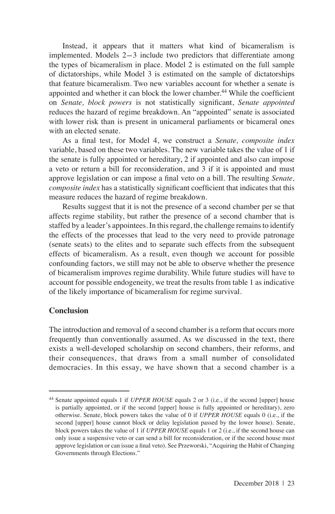Instead, it appears that it matters what kind of bicameralism is implemented. Models 2-3 include two predictors that differentiate among the types of bicameralism in place. Model 2 is estimated on the full sample of dictatorships, while Model 3 is estimated on the sample of dictatorships that feature bicameralism. Two new variables account for whether a senate is appointed and whether it can block the lower chamber.<sup>44</sup> While the coefficient on *Senate, block powers* is not statistically significant, *Senate appointed*  reduces the hazard of regime breakdown. An "appointed" senate is associated with lower risk than is present in unicameral parliaments or bicameral ones with an elected senate.

As a final test, for Model 4, we construct a *Senate, composite index*  variable, based on these two variables. The new variable takes the value of 1 if the senate is fully appointed or hereditary, 2 if appointed and also can impose a veto or return a bill for reconsideration, and 3 if it is appointed and must approve legislation or can impose a final veto on a bill. The resulting *Senate, composite index* has a statistically significant coefficient that indicates that this measure reduces the hazard of regime breakdown.

Results suggest that it is not the presence of a second chamber per se that affects regime stability, but rather the presence of a second chamber that is staffed by a leader's appointees. In this regard, the challenge remains to identify the effects of the processes that lead to the very need to provide patronage (senate seats) to the elites and to separate such effects from the subsequent effects of bicameralism. As a result, even though we account for possible confounding factors, we still may not be able to observe whether the presence of bicameralism improves regime durability. While future studies will have to account for possible endogeneity, we treat the results from table 1 as indicative of the likely importance of bicameralism for regime survival.

### **Conclusion**

The introduction and removal of a second chamber is a reform that occurs more frequently than conventionally assumed. As we discussed in the text, there exists a well-developed scholarship on second chambers, their reforms, and their consequences, that draws from a small number of consolidated democracies. In this essay, we have shown that a second chamber is a

<sup>44</sup> Senate appointed equals 1 if *UPPER HOUSE* equals 2 or 3 (i.e., if the second [upper] house is partially appointed, or if the second [upper] house is fully appointed or hereditary), zero otherwise. Senate, block powers takes the value of 0 if *UPPER HOUSE* equals 0 (i.e., if the second [upper] house cannot block or delay legislation passed by the lower house). Senate, block powers takes the value of 1 if *UPPER HOUSE* equals 1 or 2 (i.e., if the second house can only issue a suspensive veto or can send a bill for reconsideration, or if the second house must approve legislation or can issue a final veto). See Przeworski, "Acquiring the Habit of Changing Governments through Elections."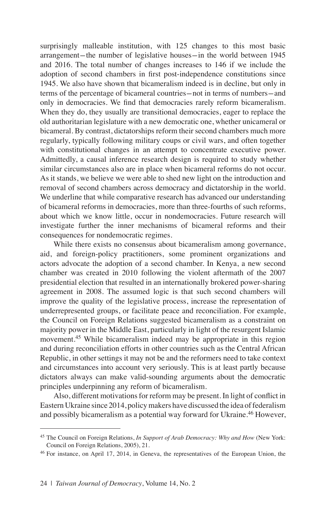surprisingly malleable institution, with 125 changes to this most basic arrangement-the number of legislative houses-in the world between 1945 and 2016. The total number of changes increases to 146 if we include the adoption of second chambers in first post-independence constitutions since 1945. We also have shown that bicameralism indeed is in decline, but only in terms of the percentage of bicameral countries-not in terms of numbers-and only in democracies. We find that democracies rarely reform bicameralism. When they do, they usually are transitional democracies, eager to replace the old authoritarian legislature with a new democratic one, whether unicameral or bicameral. By contrast, dictatorships reform their second chambers much more regularly, typically following military coups or civil wars, and often together with constitutional changes in an attempt to concentrate executive power. Admittedly, a causal inference research design is required to study whether similar circumstances also are in place when bicameral reforms do not occur. As it stands, we believe we were able to shed new light on the introduction and removal of second chambers across democracy and dictatorship in the world. We underline that while comparative research has advanced our understanding of bicameral reforms in democracies, more than three-fourths of such reforms, about which we know little, occur in nondemocracies. Future research will investigate further the inner mechanisms of bicameral reforms and their consequences for nondemocratic regimes.

While there exists no consensus about bicameralism among governance, aid, and foreign-policy practitioners, some prominent organizations and actors advocate the adoption of a second chamber. In Kenya, a new second chamber was created in 2010 following the violent aftermath of the 2007 presidential election that resulted in an internationally brokered power-sharing agreement in 2008. The assumed logic is that such second chambers will improve the quality of the legislative process, increase the representation of underrepresented groups, or facilitate peace and reconciliation. For example, the Council on Foreign Relations suggested bicameralism as a constraint on majority power in the Middle East, particularly in light of the resurgent Islamic movement.<sup>45</sup> While bicameralism indeed may be appropriate in this region and during reconciliation efforts in other countries such as the Central African Republic, in other settings it may not be and the reformers need to take context and circumstances into account very seriously. This is at least partly because dictators always can make valid-sounding arguments about the democratic principles underpinning any reform of bicameralism.

Also, different motivations for reform may be present. In light of conflict in Eastern Ukraine since 2014, policy makers have discussed the idea of federalism and possibly bicameralism as a potential way forward for Ukraine.<sup>46</sup> However,

<sup>45</sup> The Council on Foreign Relations, *In Support of Arab Democracy: Why and How* (New York: Council on Foreign Relations, 2005), 21.

<sup>46</sup> For instance, on April 17, 2014, in Geneva, the representatives of the European Union, the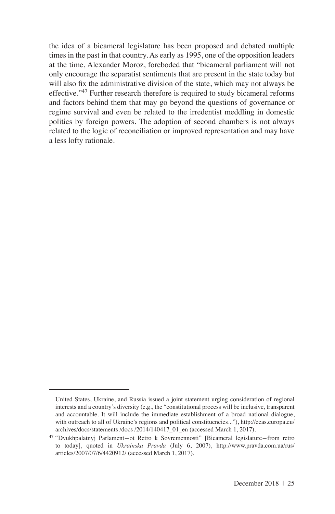the idea of a bicameral legislature has been proposed and debated multiple times in the past in that country. As early as 1995, one of the opposition leaders at the time, Alexander Moroz, foreboded that "bicameral parliament will not only encourage the separatist sentiments that are present in the state today but will also fix the administrative division of the state, which may not always be effective."<sup>47</sup> Further research therefore is required to study bicameral reforms and factors behind them that may go beyond the questions of governance or regime survival and even be related to the irredentist meddling in domestic politics by foreign powers. The adoption of second chambers is not always related to the logic of reconciliation or improved representation and may have a less lofty rationale.

United States, Ukraine, and Russia issued a joint statement urging consideration of regional interests and a country's diversity (e.g., the "constitutional process will be inclusive, transparent and accountable. It will include the immediate establishment of a broad national dialogue, with outreach to all of Ukraine's regions and political constituencies..."), http://eeas.europa.eu/ archives/docs/statements /docs /2014/140417\_01\_en (accessed March 1, 2017).

<sup>47</sup> "Dvukhpalatnyj Parlament-ot Retro k Sovremennosti" [Bicameral legislature-from retro to today], quoted in *Ukrainska Pravda* (July 6, 2007), http://www.pravda.com.ua/rus/ articles/2007/07/6/4420912/ (accessed March 1, 2017).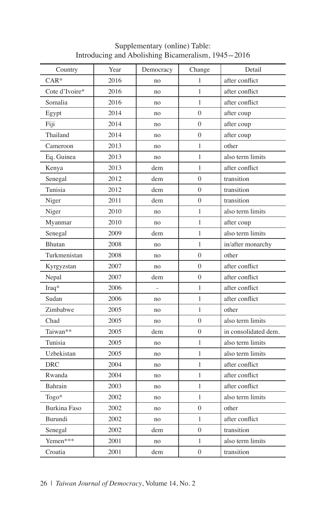| Country             | Year | Democracy | Change         | Detail               |
|---------------------|------|-----------|----------------|----------------------|
| $CAR*$              | 2016 | no        | 1              | after conflict       |
| Cote d'Ivoire*      | 2016 | no        | 1              | after conflict       |
| Somalia             | 2016 | no        | 1              | after conflict       |
| Egypt               | 2014 | no        | $\mathbf{0}$   | after coup           |
| Fiji                | 2014 | no        | $\overline{0}$ | after coup           |
| Thailand            | 2014 | no        | $\overline{0}$ | after coup           |
| Cameroon            | 2013 | no        | 1              | other                |
| Eq. Guinea          | 2013 | no        | 1              | also term limits     |
| Kenya               | 2013 | dem       | 1              | after conflict       |
| Senegal             | 2012 | dem       | $\theta$       | transition           |
| Tunisia             | 2012 | dem       | $\theta$       | transition           |
| Niger               | 2011 | dem       | $\mathbf{0}$   | transition           |
| Niger               | 2010 | no        | 1              | also term limits     |
| Myanmar             | 2010 | no        | 1              | after coup           |
| Senegal             | 2009 | dem       | 1              | also term limits     |
| Bhutan              | 2008 | no        | 1              | in/after monarchy    |
| Turkmenistan        | 2008 | no        | $\overline{0}$ | other                |
| Kyrgyzstan          | 2007 | no        | $\overline{0}$ | after conflict       |
| Nepal               | 2007 | dem       | $\mathbf{0}$   | after conflict       |
| $Iraq*$             | 2006 |           | 1              | after conflict       |
| Sudan               | 2006 | no        | 1              | after conflict       |
| Zimbabwe            | 2005 | no        | 1              | other                |
| Chad                | 2005 | no        | $\mathbf{0}$   | also term limits     |
| Taiwan**            | 2005 | dem       | $\overline{0}$ | in consolidated dem. |
| Tunisia             | 2005 | no        | 1              | also term limits     |
| Uzbekistan          | 2005 | no        | 1              | also term limits     |
| <b>DRC</b>          | 2004 | no        | 1              | after conflict       |
| Rwanda              | 2004 | no        | 1              | after conflict       |
| Bahrain             | 2003 | no        | 1              | after conflict       |
| Togo*               | 2002 | no        | 1              | also term limits     |
| <b>Burkina Faso</b> | 2002 | no        | $\Omega$       | other                |
| Burundi             | 2002 | no        | 1              | after conflict       |
| Senegal             | 2002 | dem       | $\overline{0}$ | transition           |
| Yemen***            | 2001 | no        | 1              | also term limits     |
| Croatia             | 2001 | dem       | $\overline{0}$ | transition           |
|                     |      |           |                |                      |

Supplementary (online) Table: Introducing and Abolishing Bicameralism, 1945-2016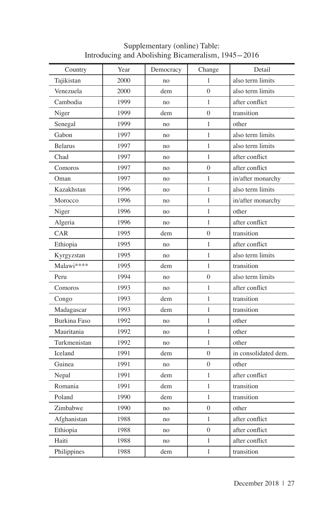| Country             | Year | Democracy | Change           | Detail               |
|---------------------|------|-----------|------------------|----------------------|
| Tajikistan          | 2000 | no        | 1                | also term limits     |
| Venezuela           | 2000 | dem       | $\Omega$         | also term limits     |
| Cambodia            | 1999 | no        | $\mathbf{1}$     | after conflict       |
| Niger               | 1999 | dem       | $\theta$         | transition           |
|                     | 1999 |           | $\mathbf{1}$     | other                |
| Senegal             |      | no        |                  |                      |
| Gabon               | 1997 | no        | $\mathbf{1}$     | also term limits     |
| <b>Belarus</b>      | 1997 | no        | $\mathbf{1}$     | also term limits     |
| Chad                | 1997 | no        | $\mathbf{1}$     | after conflict       |
| Comoros             | 1997 | no        | $\overline{0}$   | after conflict       |
| Oman                | 1997 | no        | $\mathbf{1}$     | in/after monarchy    |
| Kazakhstan          | 1996 | no        | $\mathbf{1}$     | also term limits     |
| Morocco             | 1996 | no        | $\mathbf{1}$     | in/after monarchy    |
| Niger               | 1996 | no        | $\mathbf{1}$     | other                |
| Algeria             | 1996 | no        | $\mathbf{1}$     | after conflict       |
| CAR                 | 1995 | dem       | $\boldsymbol{0}$ | transition           |
| Ethiopia            | 1995 | no        | $\mathbf{1}$     | after conflict       |
| Kyrgyzstan          | 1995 | no        | 1                | also term limits     |
| Malawi****          | 1995 | dem       | $\mathbf{1}$     | transition           |
| Peru                | 1994 | no        | $\boldsymbol{0}$ | also term limits     |
| Comoros             | 1993 | no        | $\mathbf{1}$     | after conflict       |
| Congo               | 1993 | dem       | $\mathbf{1}$     | transition           |
| Madagascar          | 1993 | dem       | $\mathbf{1}$     | transition           |
| <b>Burkina Faso</b> | 1992 | no        | $\mathbf{1}$     | other                |
| Mauritania          | 1992 | no        | $\mathbf{1}$     | other                |
| Turkmenistan        | 1992 | no        | $\mathbf{1}$     | other                |
| Iceland             | 1991 | dem       | $\overline{0}$   | in consolidated dem. |
| Guinea              | 1991 | no        | $\overline{0}$   | other                |
| Nepal               | 1991 | dem       | $\mathbf{1}$     | after conflict       |
| Romania             | 1991 | dem       | $\mathbf{1}$     | transition           |
| Poland              | 1990 | dem       | $\mathbf{1}$     | transition           |
| Zimbabwe            | 1990 | no        | $\boldsymbol{0}$ | other                |
| Afghanistan         | 1988 | no        | $\mathbf{1}$     | after conflict       |
| Ethiopia            | 1988 | no        | $\boldsymbol{0}$ | after conflict       |
| Haiti               | 1988 | no        | $\mathbf{1}$     | after conflict       |
| Philippines         | 1988 | dem       | $\mathbf{1}$     | transition           |

### Supplementary (online) Table: Introducing and Abolishing Bicameralism, 1945-2016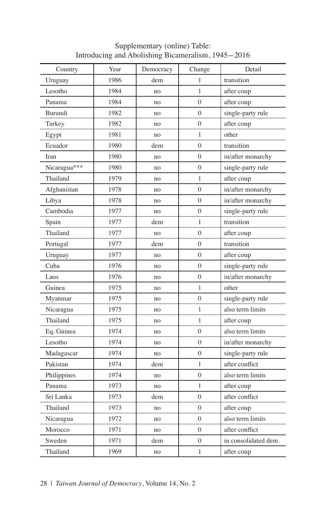| Country      | Year | Democracy | Change           | Detail               |
|--------------|------|-----------|------------------|----------------------|
| Uruguay      | 1986 | dem       | 1                | transition           |
| Lesotho      | 1984 | no        | $\mathbf{1}$     | after coup           |
| Panama       | 1984 | no        | $\overline{0}$   | after coup           |
| Burundi      | 1982 | no        | $\overline{0}$   | single-party rule    |
| Turkey       | 1982 | no        | $\overline{0}$   | after coup           |
| Egypt        | 1981 | no        | $\mathbf{1}$     | other                |
| Ecuador      | 1980 | dem       | $\overline{0}$   | transition           |
| Iran         | 1980 | no        | $\theta$         | in/after monarchy    |
| Nicaragua*** | 1980 | no        | $\overline{0}$   | single-party rule    |
| Thailand     | 1979 | no        | $\mathbf{1}$     | after coup           |
| Afghanistan  | 1978 | no        | $\overline{0}$   | in/after monarchy    |
| Libya        | 1978 | no        | $\overline{0}$   | in/after monarchy    |
| Cambodia     | 1977 | no        | $\overline{0}$   | single-party rule    |
| Spain        | 1977 | dem       | $\mathbf{1}$     | transition           |
| Thailand     | 1977 | no        | $\overline{0}$   | after coup           |
| Portugal     | 1977 | dem       | $\overline{0}$   | transition           |
| Uruguay      | 1977 | no        | $\overline{0}$   | after coup           |
| Cuba         | 1976 | no        | $\overline{0}$   | single-party rule    |
| Laos         | 1976 | no        | $\overline{0}$   | in/after monarchy    |
| Guinea       | 1975 | no        | $\mathbf{1}$     | other                |
| Myanmar      | 1975 | no        | $\overline{0}$   | single-party rule    |
| Nicaragua    | 1975 | no        | $\mathbf{1}$     | also term limits     |
| Thailand     | 1975 | no        | $\mathbf{1}$     | after coup           |
| Eq. Guinea   | 1974 | no        | $\overline{0}$   | also term limits     |
| Lesotho      | 1974 | no        | $\overline{0}$   | in/after monarchy    |
| Madagascar   | 1974 | no        | $\overline{0}$   | single-party rule    |
| Pakistan     | 1974 | dem       | $\mathbf{1}$     | after conflict       |
| Philippines  | 1974 | no        | $\boldsymbol{0}$ | also term limits     |
| Panama       | 1973 | no        | 1                | after coup           |
| Sri Lanka    | 1973 | dem       | $\theta$         | after conflict       |
| Thailand     | 1973 | no        | $\theta$         | after coup           |
| Nicaragua    | 1972 | no        | 0                | also term limits     |
| Morocco      | 1971 | no        | $\overline{0}$   | after conflict       |
| Sweden       | 1971 | dem       | $\overline{0}$   | in consolidated dem. |
| Thailand     | 1969 | no        | $\mathbf{1}$     | after coup           |
|              |      |           |                  |                      |

Supplementary (online) Table: Introducing and Abolishing Bicameralism, 1945-2016